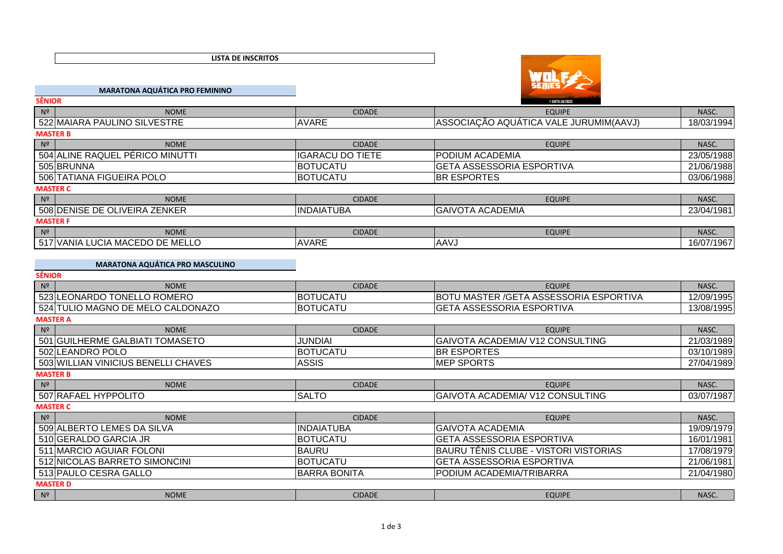**LISTA DE INSCRITOS**



|                         | D DUATHLON CROSS                       |                                                                                                      |  |  |
|-------------------------|----------------------------------------|------------------------------------------------------------------------------------------------------|--|--|
| <b>CIDADE</b>           | <b>EQUIPE</b>                          | NASC.                                                                                                |  |  |
| <b>AVARE</b>            | ASSOCIAÇÃO AQUÁTICA VALE JURUMIM(AAVJ) | 18/03/1994                                                                                           |  |  |
| <b>MASTER B</b>         |                                        |                                                                                                      |  |  |
| <b>CIDADE</b>           | <b>EQUIPE</b>                          | NASC.                                                                                                |  |  |
| <b>IGARACU DO TIETE</b> |                                        | 23/05/1988                                                                                           |  |  |
| <b>IBOTUCATU</b>        |                                        | 21/06/1988                                                                                           |  |  |
| <b>BOTUCATU</b>         |                                        | 03/06/1988                                                                                           |  |  |
| <b>MASTER C</b>         |                                        |                                                                                                      |  |  |
| <b>CIDADE</b>           | <b>EQUIPE</b>                          | NASC.                                                                                                |  |  |
| <b>INDAIATUBA</b>       |                                        | 23/04/1981                                                                                           |  |  |
| <b>MASTER F</b>         |                                        |                                                                                                      |  |  |
| <b>CIDADE</b>           | <b>EQUIPE</b>                          | NASC.                                                                                                |  |  |
| <b>AVARE</b>            | <b>AAVJ</b>                            | 16/07/1967                                                                                           |  |  |
|                         |                                        | <b>PODIUM ACADEMIA</b><br><b>GETA ASSESSORIA ESPORTIVA</b><br><b>BR ESPORTES</b><br>GAIVOTA ACADEMIA |  |  |

**MARATONA AQUÁTICA PRO MASCULINO**

|                | <b>SÊNIOR</b>                       |                     |                                                |            |  |  |
|----------------|-------------------------------------|---------------------|------------------------------------------------|------------|--|--|
| N <sup>2</sup> | <b>NOME</b>                         | <b>CIDADE</b>       | <b>EQUIPE</b>                                  | NASC.      |  |  |
|                | 523 LEONARDO TONELLO ROMERO         | <b>BOTUCATU</b>     | <b>BOTU MASTER / GETA ASSESSORIA ESPORTIVA</b> | 12/09/1995 |  |  |
|                | 524 TULIO MAGNO DE MELO CALDONAZO   | <b>BOTUCATU</b>     | <b>GETA ASSESSORIA ESPORTIVA</b>               | 13/08/1995 |  |  |
|                | <b>MASTER A</b>                     |                     |                                                |            |  |  |
| N <sup>2</sup> | <b>NOME</b>                         | <b>CIDADE</b>       | <b>EQUIPE</b>                                  | NASC.      |  |  |
|                | 501 GUILHERME GALBIATI TOMASETO     | JUNDIAI             | GAIVOTA ACADEMIA/ V12 CONSULTING               | 21/03/1989 |  |  |
|                | 502 LEANDRO POLO                    | <b>BOTUCATU</b>     | <b>BR ESPORTES</b>                             | 03/10/1989 |  |  |
|                | 503 WILLIAN VINICIUS BENELLI CHAVES | <b>ASSIS</b>        | <b>MEP SPORTS</b>                              | 27/04/1989 |  |  |
|                | <b>MASTER B</b>                     |                     |                                                |            |  |  |
| N <sup>2</sup> | <b>NOME</b>                         | <b>CIDADE</b>       | <b>EQUIPE</b>                                  | NASC.      |  |  |
|                | 507 RAFAEL HYPPOLITO                | <b>SALTO</b>        | <b>GAIVOTA ACADEMIA/ V12 CONSULTING</b>        | 03/07/1987 |  |  |
|                | <b>MASTER C</b>                     |                     |                                                |            |  |  |
| N <sup>2</sup> | <b>NOME</b>                         | <b>CIDADE</b>       | <b>EQUIPE</b>                                  | NASC.      |  |  |
|                | 509 ALBERTO LEMES DA SILVA          | <b>INDAIATUBA</b>   | <b>GAIVOTA ACADEMIA</b>                        | 19/09/1979 |  |  |
|                | 510 GERALDO GARCIA JR               | <b>IBOTUCATU</b>    | <b>GETA ASSESSORIA ESPORTIVA</b>               | 16/01/1981 |  |  |
|                | 511 MARCIO AGUIAR FOLONI            | <b>BAURU</b>        | BAURU TÊNIS CLUBE - VISTORI VISTORIAS          | 17/08/1979 |  |  |
|                | 512 NICOLAS BARRETO SIMONCINI       | <b>BOTUCATU</b>     | <b>GETA ASSESSORIA ESPORTIVA</b>               | 21/06/1981 |  |  |
|                | 513 PAULO CESRA GALLO               | <b>BARRA BONITA</b> | PODIUM ACADEMIA/TRIBARRA                       | 21/04/1980 |  |  |
|                | <b>MASTER D</b>                     |                     |                                                |            |  |  |
| N <sup>2</sup> | <b>NOME</b>                         | <b>CIDADE</b>       | <b>EQUIPE</b>                                  | NASC.      |  |  |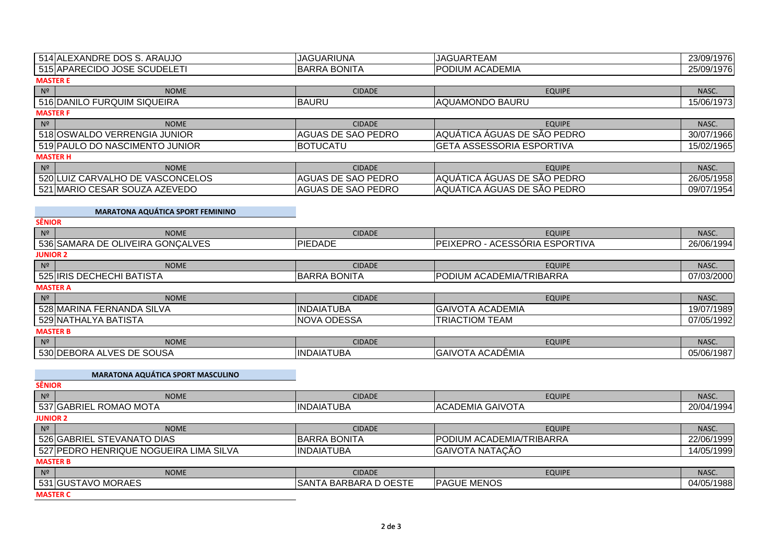| 514 ALEXANDRE DOS S. ARAUJO      | <b>JAGUARIUNA</b>         | <b>JAGUARTEAM</b>                | 23/09/1976 |  |  |  |
|----------------------------------|---------------------------|----------------------------------|------------|--|--|--|
| 515 APARECIDO JOSE SCUDELETI     | <b>BARRA BONITA</b>       | <b>PODIUM ACADEMIA</b>           | 25/09/1976 |  |  |  |
| <b>MASTER E</b>                  |                           |                                  |            |  |  |  |
| N <sup>2</sup><br><b>NOME</b>    | <b>CIDADE</b>             | <b>EQUIPE</b>                    | NASC.      |  |  |  |
| 516 DANILO FURQUIM SIQUEIRA      | <b>IBAURU</b>             | AQUAMONDO BAURU                  | 15/06/1973 |  |  |  |
| <b>MASTER F</b>                  |                           |                                  |            |  |  |  |
| N <sup>2</sup><br><b>NOME</b>    | <b>CIDADE</b>             | <b>EQUIPE</b>                    | NASC.      |  |  |  |
| 518 OSWALDO VERRENGIA JUNIOR     | AGUAS DE SAO PEDRO        | AQUÁTICA ÁGUAS DE SÃO PEDRO      | 30/07/1966 |  |  |  |
| 519 PAULO DO NASCIMENTO JUNIOR   | <b>BOTUCATU</b>           | <b>GETA ASSESSORIA ESPORTIVA</b> | 15/02/1965 |  |  |  |
| <b>MASTER H</b>                  |                           |                                  |            |  |  |  |
| N <sup>2</sup><br><b>NOME</b>    | <b>CIDADE</b>             | <b>EQUIPE</b>                    | NASC.      |  |  |  |
| 520 LUIZ CARVALHO DE VASCONCELOS | <b>AGUAS DE SAO PEDRO</b> | AQUÁTICA ÁGUAS DE SÃO PEDRO      | 26/05/1958 |  |  |  |
| 521 MARIO CESAR SOUZA AZEVEDO    | AGUAS DE SAO PEDRO        | AQUÁTICA ÁGUAS DE SÃO PEDRO      | 09/07/1954 |  |  |  |

## **MARATONA AQUÁTICA SPORT FEMININO**

| <b>SÊNIOR</b>                    |                     |                                |            |  |
|----------------------------------|---------------------|--------------------------------|------------|--|
| N <sup>2</sup><br><b>NOME</b>    | <b>CIDADE</b>       | <b>EQUIPE</b>                  | NASC.      |  |
| 536 SAMARA DE OLIVEIRA GONÇALVES | <b>PIEDADE</b>      | PEIXEPRO - ACESSÓRIA ESPORTIVA | 26/06/1994 |  |
| <b>JUNIOR 2</b>                  |                     |                                |            |  |
| N <sup>2</sup><br><b>NOME</b>    | <b>CIDADE</b>       | <b>EQUIPE</b>                  | NASC.      |  |
| 525 IRIS DECHECHI BATISTA        | <b>BARRA BONITA</b> | PODIUM ACADEMIA/TRIBARRA       | 07/03/2000 |  |
| <b>MASTER A</b>                  |                     |                                |            |  |
| N <sup>2</sup><br><b>NOME</b>    | <b>CIDADE</b>       | <b>EQUIPE</b>                  | NASC.      |  |
| 528 MARINA FERNANDA SILVA        | <b>INDAIATUBA</b>   | <b>GAIVOTA ACADEMIA</b>        | 19/07/1989 |  |
| 529 NATHALYA BATISTA             | <b>NOVA ODESSA</b>  | TRIACTIOM TEAM                 | 07/05/1992 |  |
| <b>MASTER B</b>                  |                     |                                |            |  |
| N <sup>2</sup><br><b>NOME</b>    | <b>CIDADE</b>       | <b>EQUIPE</b>                  | NASC.      |  |
| 530 DEBORA ALVES DE SOUSA        | <b>INDAIATUBA</b>   | GAIVOTA ACADÊMIA               | 05/06/1987 |  |

| <b>MARATONA AQUÁTICA SPORT MASCULINO</b> |                       |                          |            |
|------------------------------------------|-----------------------|--------------------------|------------|
| <b>SÊNIOR</b>                            |                       |                          |            |
| N <sup>2</sup><br><b>NOME</b>            | <b>CIDADE</b>         | <b>EQUIPE</b>            | NASC.      |
| 537 GABRIEL ROMAO MOTA                   | <b>INDAIATUBA</b>     | <b>ACADEMIA GAIVOTA</b>  | 20/04/1994 |
| <b>JUNIOR 2</b>                          |                       |                          |            |
| N <sup>2</sup><br><b>NOME</b>            | <b>CIDADE</b>         | <b>EQUIPE</b>            | NASC.      |
| 526 GABRIEL STEVANATO DIAS               | <b>BARRA BONITA</b>   | PODIUM ACADEMIA/TRIBARRA | 22/06/1999 |
| 527 PEDRO HENRIQUE NOGUEIRA LIMA SILVA   | <b>IINDAIATUBA</b>    | GAIVOTA NATAÇÃO          | 14/05/1999 |
| <b>MASTER B</b>                          |                       |                          |            |
| N <sup>2</sup><br><b>NOME</b>            | <b>CIDADE</b>         | <b>EQUIPE</b>            | NASC.      |
| 531 GUSTAVO MORAES                       | SANTA BARBARA D OESTE | <b>PAGUE MENOS</b>       | 04/05/1988 |
| <b>MASTER C</b>                          |                       |                          |            |